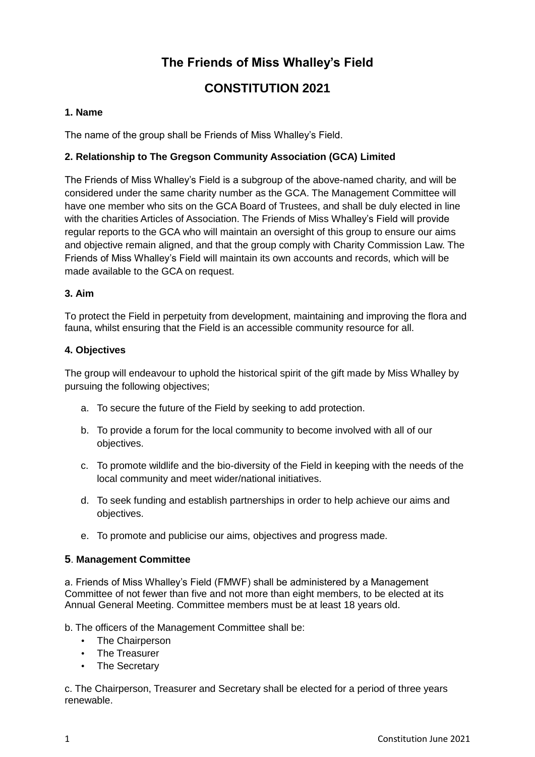# **The Friends of Miss Whalley's Field**

## **CONSTITUTION 2021**

## **1. Name**

The name of the group shall be Friends of Miss Whalley's Field.

## **2. Relationship to The Gregson Community Association (GCA) Limited**

The Friends of Miss Whalley's Field is a subgroup of the above-named charity, and will be considered under the same charity number as the GCA. The Management Committee will have one member who sits on the GCA Board of Trustees, and shall be duly elected in line with the charities Articles of Association. The Friends of Miss Whalley's Field will provide regular reports to the GCA who will maintain an oversight of this group to ensure our aims and objective remain aligned, and that the group comply with Charity Commission Law. The Friends of Miss Whalley's Field will maintain its own accounts and records, which will be made available to the GCA on request.

#### **3. Aim**

To protect the Field in perpetuity from development, maintaining and improving the flora and fauna, whilst ensuring that the Field is an accessible community resource for all.

#### **4. Objectives**

The group will endeavour to uphold the historical spirit of the gift made by Miss Whalley by pursuing the following objectives;

- a. To secure the future of the Field by seeking to add protection.
- b. To provide a forum for the local community to become involved with all of our objectives.
- c. To promote wildlife and the bio-diversity of the Field in keeping with the needs of the local community and meet wider/national initiatives.
- d. To seek funding and establish partnerships in order to help achieve our aims and objectives.
- e. To promote and publicise our aims, objectives and progress made.

## **5**. **Management Committee**

a. Friends of Miss Whalley's Field (FMWF) shall be administered by a Management Committee of not fewer than five and not more than eight members, to be elected at its Annual General Meeting. Committee members must be at least 18 years old.

b. The officers of the Management Committee shall be:

- The Chairperson
- The Treasurer
- The Secretary

c. The Chairperson, Treasurer and Secretary shall be elected for a period of three years renewable.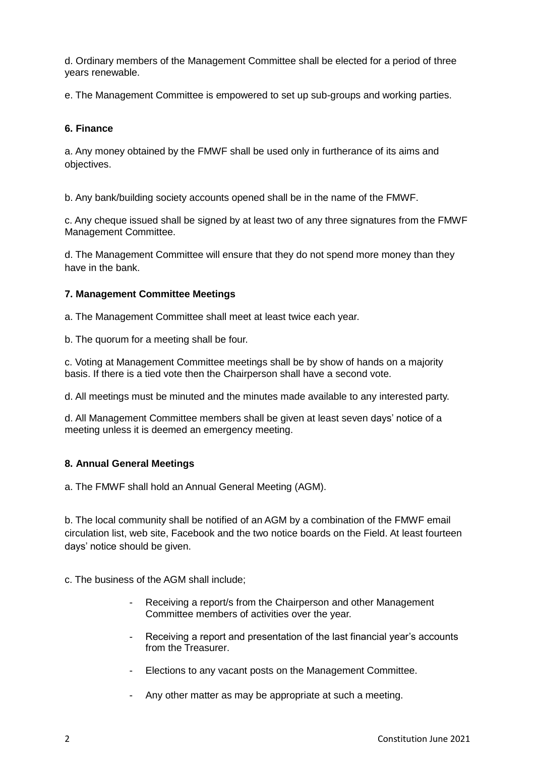d. Ordinary members of the Management Committee shall be elected for a period of three years renewable.

e. The Management Committee is empowered to set up sub-groups and working parties.

#### **6. Finance**

a. Any money obtained by the FMWF shall be used only in furtherance of its aims and objectives.

b. Any bank/building society accounts opened shall be in the name of the FMWF.

c. Any cheque issued shall be signed by at least two of any three signatures from the FMWF Management Committee.

d. The Management Committee will ensure that they do not spend more money than they have in the bank.

#### **7. Management Committee Meetings**

a. The Management Committee shall meet at least twice each year.

b. The quorum for a meeting shall be four.

c. Voting at Management Committee meetings shall be by show of hands on a majority basis. If there is a tied vote then the Chairperson shall have a second vote.

d. All meetings must be minuted and the minutes made available to any interested party.

d. All Management Committee members shall be given at least seven days' notice of a meeting unless it is deemed an emergency meeting.

#### **8. Annual General Meetings**

a. The FMWF shall hold an Annual General Meeting (AGM).

b. The local community shall be notified of an AGM by a combination of the FMWF email circulation list, web site, Facebook and the two notice boards on the Field. At least fourteen days' notice should be given.

c. The business of the AGM shall include;

- Receiving a report/s from the Chairperson and other Management Committee members of activities over the year.
- Receiving a report and presentation of the last financial year's accounts from the Treasurer.
- Elections to any vacant posts on the Management Committee.
- Any other matter as may be appropriate at such a meeting.